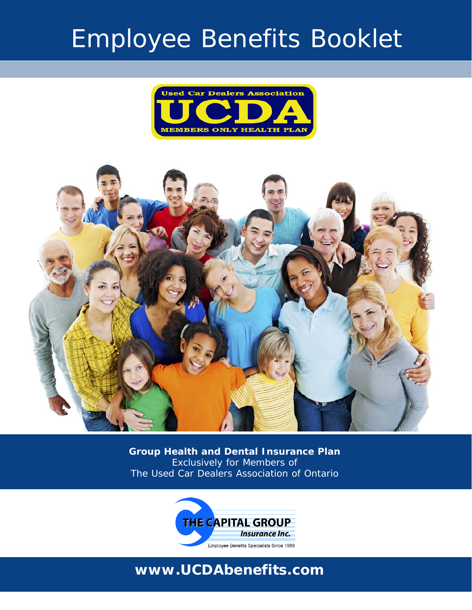# Employee Benefits Booklet





**Group Health and Dental Insurance Plan** Exclusively for Members of The Used Car Dealers Association of Ontario



## **www.UCDAbenefits.com**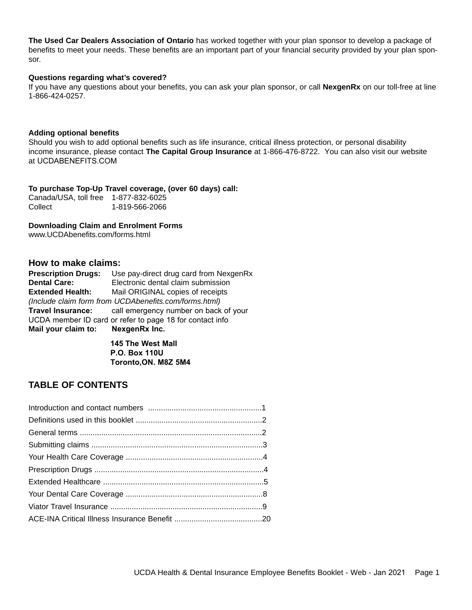**The Used Car Dealers Association of Ontario** has worked together with your plan sponsor to develop a package of benefits to meet your needs. These benefits are an important part of your financial security provided by your plan sponsor.

#### **Questions regarding what's covered?**

If you have any questions about your benefits, you can ask your plan sponsor, or call **NexgenRx** on our toll-free at line 1-866-424-0257.

#### **Adding optional benefits**

Should you wish to add optional benefits such as life insurance, critical illness protection, or personal disability income insurance, please contact **The Capital Group Insurance** at 1-866-476-8722. You can also visit our website at UCDABENEFITS.COM

**To purchase Top-Up Travel coverage, (over 60 days) call:** Canada/USA, toll free 1-877-832-6025 Collect 1-819-566-2066

**Downloading Claim and Enrolment Forms** www.UCDAbenefits.com/forms.html

## **How to make claims:**

| <b>Prescription Drugs:</b>                               | Use pay-direct drug card from NexgenRx                  |  |
|----------------------------------------------------------|---------------------------------------------------------|--|
| <b>Dental Care:</b>                                      | Electronic dental claim submission                      |  |
| <b>Extended Health:</b>                                  | Mail ORIGINAL copies of receipts                        |  |
| (Include claim form from UCDAbenefits.com/forms.html)    |                                                         |  |
|                                                          | Travel Insurance: call emergency number on back of your |  |
| UCDA member ID card or refer to page 18 for contact info |                                                         |  |
| Mail your claim to: NexgenRx Inc.                        |                                                         |  |

**145 The West Mall P.O. Box 110U Toronto,ON. M8Z 5M4** 

## **TABLE OF CONTENTS**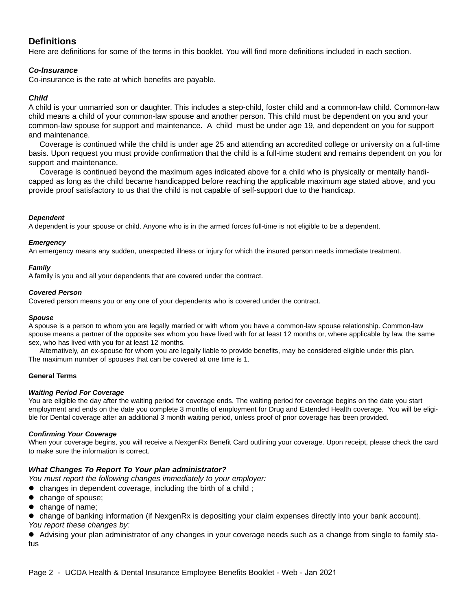## **Definitions**

Here are definitions for some of the terms in this booklet. You will find more definitions included in each section.

## *Co-Insurance*

Co-insurance is the rate at which benefits are payable.

## *Child*

A child is your unmarried son or daughter. This includes a step-child, foster child and a common-law child. Common-law child means a child of your common-law spouse and another person. This child must be dependent on you and your common-law spouse for support and maintenance. A child must be under age 19, and dependent on you for support and maintenance.

Coverage is continued while the child is under age 25 and attending an accredited college or university on a full-time basis. Upon request you must provide confirmation that the child is a full-time student and remains dependent on you for support and maintenance.

Coverage is continued beyond the maximum ages indicated above for a child who is physically or mentally handicapped as long as the child became handicapped before reaching the applicable maximum age stated above, and you provide proof satisfactory to us that the child is not capable of self-support due to the handicap.

## *Dependent*

A dependent is your spouse or child. Anyone who is in the armed forces full-time is not eligible to be a dependent.

#### *Emergency*

An emergency means any sudden, unexpected illness or injury for which the insured person needs immediate treatment.

#### *Family*

A family is you and all your dependents that are covered under the contract.

#### *Covered Person*

Covered person means you or any one of your dependents who is covered under the contract.

#### *Spouse*

A spouse is a person to whom you are legally married or with whom you have a common-law spouse relationship. Common-law spouse means a partner of the opposite sex whom you have lived with for at least 12 months or, where applicable by law, the same sex, who has lived with you for at least 12 months.

Alternatively, an ex-spouse for whom you are legally liable to provide benefits, may be considered eligible under this plan. The maximum number of spouses that can be covered at one time is 1.

#### **General Terms**

#### *Waiting Period For Coverage*

You are eligible the day after the waiting period for coverage ends. The waiting period for coverage begins on the date you start employment and ends on the date you complete 3 months of employment for Drug and Extended Health coverage. You will be eligible for Dental coverage after an additional 3 month waiting period, unless proof of prior coverage has been provided.

#### *Confirming Your Coverage*

When your coverage begins, you will receive a NexgenRx Benefit Card outlining your coverage. Upon receipt, please check the card to make sure the information is correct.

#### *What Changes To Report To Your plan administrator?*

*You must report the following changes immediately to your employer:*

- $\bullet$  changes in dependent coverage, including the birth of a child;
- $\bullet$  change of spouse;
- $\bullet$  change of name;
- change of banking information (if NexgenRx is depositing your claim expenses directly into your bank account). *You report these changes by:*

• Advising your plan administrator of any changes in your coverage needs such as a change from single to family status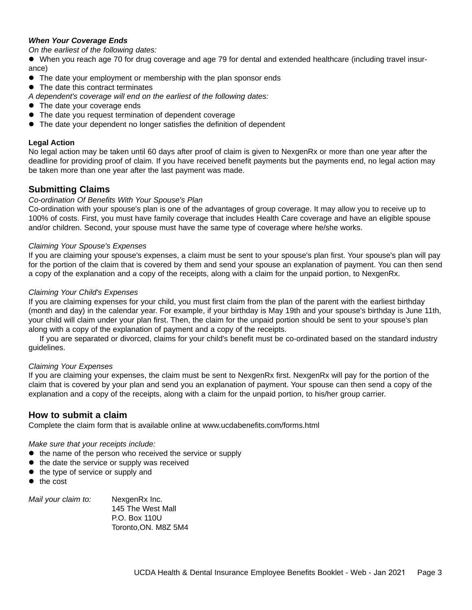## *When Your Coverage Ends*

*On the earliest of the following dates:* 

• When you reach age 70 for drug coverage and age 79 for dental and extended healthcare (including travel insurance)

- The date your employment or membership with the plan sponsor ends
- $\bullet$  The date this contract terminates
- *A dependent's coverage will end on the earliest of the following dates:*
- The date your coverage ends
- The date you request termination of dependent coverage
- The date your dependent no longer satisfies the definition of dependent

## **Legal Action**

No legal action may be taken until 60 days after proof of claim is given to NexgenRx or more than one year after the deadline for providing proof of claim. If you have received benefit payments but the payments end, no legal action may be taken more than one year after the last payment was made.

## **Submitting Claims**

## *Co-ordination Of Benefits With Your Spouse's Plan*

Co-ordination with your spouse's plan is one of the advantages of group coverage. It may allow you to receive up to 100% of costs. First, you must have family coverage that includes Health Care coverage and have an eligible spouse and/or children. Second, your spouse must have the same type of coverage where he/she works.

#### *Claiming Your Spouse's Expenses*

If you are claiming your spouse's expenses, a claim must be sent to your spouse's plan first. Your spouse's plan will pay for the portion of the claim that is covered by them and send your spouse an explanation of payment. You can then send a copy of the explanation and a copy of the receipts, along with a claim for the unpaid portion, to NexgenRx.

## *Claiming Your Child's Expenses*

If you are claiming expenses for your child, you must first claim from the plan of the parent with the earliest birthday (month and day) in the calendar year. For example, if your birthday is May 19th and your spouse's birthday is June 11th, your child will claim under your plan first. Then, the claim for the unpaid portion should be sent to your spouse's plan along with a copy of the explanation of payment and a copy of the receipts.

If you are separated or divorced, claims for your child's benefit must be co-ordinated based on the standard industry guidelines.

#### *Claiming Your Expenses*

If you are claiming your expenses, the claim must be sent to NexgenRx first. NexgenRx will pay for the portion of the claim that is covered by your plan and send you an explanation of payment. Your spouse can then send a copy of the explanation and a copy of the receipts, along with a claim for the unpaid portion, to his/her group carrier.

## **How to submit a claim**

Complete the claim form that is available online at www.ucdabenefits.com/forms.html

*Make sure that your receipts include:*

- $\bullet$  the name of the person who received the service or supply
- $\bullet$  the date the service or supply was received
- $\bullet$  the type of service or supply and
- the cost

*Mail your claim to:* NexgenRx Inc. 145 The West Mall P.O. Box 110U Toronto,ON. M8Z 5M4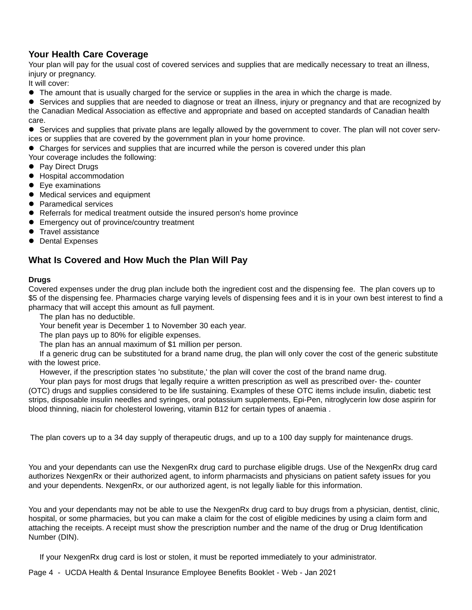## **Your Health Care Coverage**

Your plan will pay for the usual cost of covered services and supplies that are medically necessary to treat an illness, injury or pregnancy.

It will cover:

• The amount that is usually charged for the service or supplies in the area in which the charge is made.

• Services and supplies that are needed to diagnose or treat an illness, injury or pregnancy and that are recognized by the Canadian Medical Association as effective and appropriate and based on accepted standards of Canadian health care.

• Services and supplies that private plans are legally allowed by the government to cover. The plan will not cover services or supplies that are covered by the government plan in your home province.

• Charges for services and supplies that are incurred while the person is covered under this plan

Your coverage includes the following:

- Pay Direct Drugs
- $\bullet$  Hospital accommodation
- Eye examinations
- $\bullet$  Medical services and equipment
- Paramedical services
- Referrals for medical treatment outside the insured person's home province
- Emergency out of province/country treatment
- Travel assistance
- Dental Expenses

## **What Is Covered and How Much the Plan Will Pay**

## **Drugs**

Covered expenses under the drug plan include both the ingredient cost and the dispensing fee. The plan covers up to \$5 of the dispensing fee. Pharmacies charge varying levels of dispensing fees and it is in your own best interest to find a pharmacy that will accept this amount as full payment.

The plan has no deductible.

Your benefit year is December 1 to November 30 each year.

The plan pays up to 80% for eligible expenses.

The plan has an annual maximum of \$1 million per person.

If a generic drug can be substituted for a brand name drug, the plan will only cover the cost of the generic substitute with the lowest price.

However, if the prescription states 'no substitute,' the plan will cover the cost of the brand name drug.

Your plan pays for most drugs that legally require a written prescription as well as prescribed over- the- counter (OTC) drugs and supplies considered to be life sustaining. Examples of these OTC items include insulin, diabetic test strips, disposable insulin needles and syringes, oral potassium supplements, Epi-Pen, nitroglycerin low dose aspirin for blood thinning, niacin for cholesterol lowering, vitamin B12 for certain types of anaemia .

The plan covers up to a 34 day supply of therapeutic drugs, and up to a 100 day supply for maintenance drugs.

You and your dependants can use the NexgenRx drug card to purchase eligible drugs. Use of the NexgenRx drug card authorizes NexgenRx or their authorized agent, to inform pharmacists and physicians on patient safety issues for you and your dependents. NexgenRx, or our authorized agent, is not legally liable for this information.

You and your dependants may not be able to use the NexgenRx drug card to buy drugs from a physician, dentist, clinic, hospital, or some pharmacies, but you can make a claim for the cost of eligible medicines by using a claim form and attaching the receipts. A receipt must show the prescription number and the name of the drug or Drug Identification Number (DIN).

If your NexgenRx drug card is lost or stolen, it must be reported immediately to your administrator.

Page 4 - UCDA Health & Dental Insurance Employee Benefits Booklet - Web - Jan 2021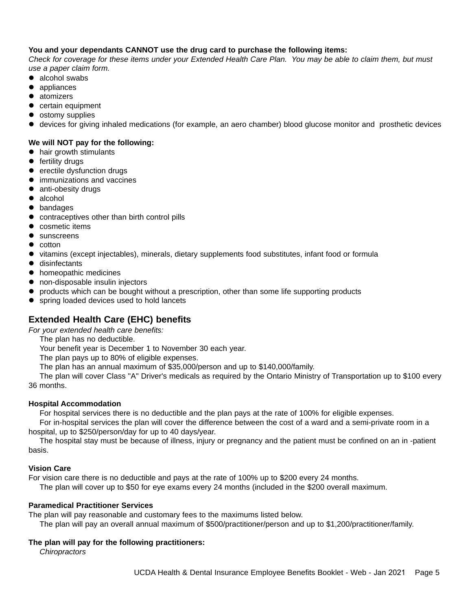## **You and your dependants CANNOT use the drug card to purchase the following items:**

*Check for coverage for these items under your Extended Health Care Plan. You may be able to claim them, but must use a paper claim form.*

- $\bullet$  alcohol swabs
- appliances
- atomizers
- $\bullet$  certain equipment
- ostomy supplies
- devices for giving inhaled medications (for example, an aero chamber) blood glucose monitor and prosthetic devices

## **We will NOT pay for the following:**

- $\bullet$  hair growth stimulants
- $\bullet$  fertility drugs
- erectile dysfunction drugs
- $\bullet$  immunizations and vaccines
- anti-obesity drugs
- $\bullet$  alcohol
- $\bullet$  bandages
- contraceptives other than birth control pills
- cosmetic items
- sunscreens
- cotton
- vitamins (except injectables), minerals, dietary supplements food substitutes, infant food or formula
- $\bullet$  disinfectants
- $\bullet$  homeopathic medicines
- $\bullet$  non-disposable insulin injectors
- products which can be bought without a prescription, other than some life supporting products
- spring loaded devices used to hold lancets

## **Extended Health Care (EHC) benefits**

*For your extended health care benefits:*

The plan has no deductible.

Your benefit year is December 1 to November 30 each year.

The plan pays up to 80% of eligible expenses.

The plan has an annual maximum of \$35,000/person and up to \$140,000/family.

The plan will cover Class "A" Driver's medicals as required by the Ontario Ministry of Transportation up to \$100 every 36 months.

## **Hospital Accommodation**

For hospital services there is no deductible and the plan pays at the rate of 100% for eligible expenses.

For in-hospital services the plan will cover the difference between the cost of a ward and a semi-private room in a hospital, up to \$250/person/day for up to 40 days/year.

The hospital stay must be because of illness, injury or pregnancy and the patient must be confined on an in -patient basis.

## **Vision Care**

For vision care there is no deductible and pays at the rate of 100% up to \$200 every 24 months.

The plan will cover up to \$50 for eye exams every 24 months (included in the \$200 overall maximum.

## **Paramedical Practitioner Services**

The plan will pay reasonable and customary fees to the maximums listed below.

The plan will pay an overall annual maximum of \$500/practitioner/person and up to \$1,200/practitioner/family.

## **The plan will pay for the following practitioners:**

*Chiropractors*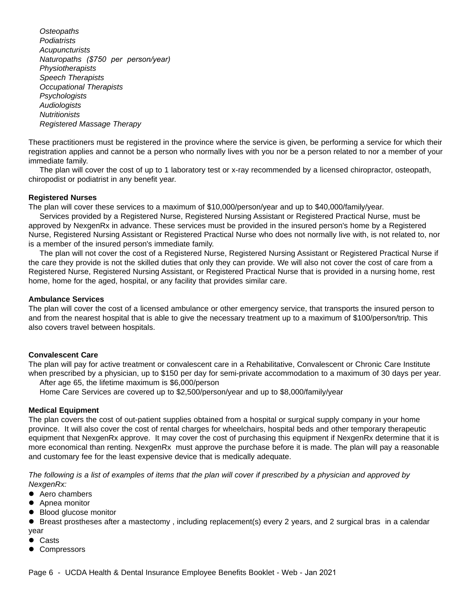*Osteopaths Podiatrists Acupuncturists Naturopaths (\$750 per person/year) Physiotherapists Speech Therapists Occupational Therapists Psychologists Audiologists Nutritionists Registered Massage Therapy* 

These practitioners must be registered in the province where the service is given, be performing a service for which their registration applies and cannot be a person who normally lives with you nor be a person related to nor a member of your immediate family.

The plan will cover the cost of up to 1 laboratory test or x-ray recommended by a licensed chiropractor, osteopath, chiropodist or podiatrist in any benefit year.

## **Registered Nurses**

The plan will cover these services to a maximum of \$10,000/person/year and up to \$40,000/family/year.

Services provided by a Registered Nurse, Registered Nursing Assistant or Registered Practical Nurse, must be approved by NexgenRx in advance. These services must be provided in the insured person's home by a Registered Nurse, Registered Nursing Assistant or Registered Practical Nurse who does not normally live with, is not related to, nor is a member of the insured person's immediate family.

The plan will not cover the cost of a Registered Nurse, Registered Nursing Assistant or Registered Practical Nurse if the care they provide is not the skilled duties that only they can provide. We will also not cover the cost of care from a Registered Nurse, Registered Nursing Assistant, or Registered Practical Nurse that is provided in a nursing home, rest home, home for the aged, hospital, or any facility that provides similar care.

#### **Ambulance Services**

The plan will cover the cost of a licensed ambulance or other emergency service, that transports the insured person to and from the nearest hospital that is able to give the necessary treatment up to a maximum of \$100/person/trip. This also covers travel between hospitals.

#### **Convalescent Care**

The plan will pay for active treatment or convalescent care in a Rehabilitative, Convalescent or Chronic Care Institute when prescribed by a physician, up to \$150 per day for semi-private accommodation to a maximum of 30 days per year. After age 65, the lifetime maximum is \$6,000/person

Home Care Services are covered up to \$2,500/person/year and up to \$8,000/family/year

#### **Medical Equipment**

The plan covers the cost of out-patient supplies obtained from a hospital or surgical supply company in your home province. It will also cover the cost of rental charges for wheelchairs, hospital beds and other temporary therapeutic equipment that NexgenRx approve. It may cover the cost of purchasing this equipment if NexgenRx determine that it is more economical than renting. NexgenRx must approve the purchase before it is made. The plan will pay a reasonable and customary fee for the least expensive device that is medically adequate.

*The following is a list of examples of items that the plan will cover if prescribed by a physician and approved by NexgenRx:*

- Aero chambers
- Apnea monitor
- Blood glucose monitor

• Breast prostheses after a mastectomy, including replacement(s) every 2 years, and 2 surgical bras in a calendar year

- Casts
- Compressors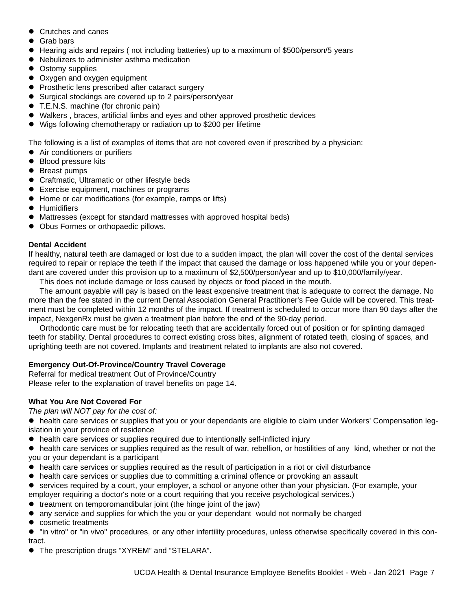- Crutches and canes
- Grab bars
- Hearing aids and repairs (not including batteries) up to a maximum of \$500/person/5 years
- Nebulizers to administer asthma medication
- Ostomy supplies
- Oxygen and oxygen equipment
- $\bullet$  Prosthetic lens prescribed after cataract surgery
- Surgical stockings are covered up to 2 pairs/person/year
- T.E.N.S. machine (for chronic pain)
- Walkers, braces, artificial limbs and eyes and other approved prosthetic devices
- Wigs following chemotherapy or radiation up to \$200 per lifetime

The following is a list of examples of items that are not covered even if prescribed by a physician:

- Air conditioners or purifiers
- Blood pressure kits
- Breast pumps
- Craftmatic, Ultramatic or other lifestyle beds
- Exercise equipment, machines or programs
- Home or car modifications (for example, ramps or lifts)
- **•** Humidifiers
- Mattresses (except for standard mattresses with approved hospital beds)
- Obus Formes or orthopaedic pillows.

#### **Dental Accident**

If healthy, natural teeth are damaged or lost due to a sudden impact, the plan will cover the cost of the dental services required to repair or replace the teeth if the impact that caused the damage or loss happened while you or your dependant are covered under this provision up to a maximum of \$2,500/person/year and up to \$10,000/family/year.

This does not include damage or loss caused by objects or food placed in the mouth.

The amount payable will pay is based on the least expensive treatment that is adequate to correct the damage. No more than the fee stated in the current Dental Association General Practitioner's Fee Guide will be covered. This treatment must be completed within 12 months of the impact. If treatment is scheduled to occur more than 90 days after the impact, NexgenRx must be given a treatment plan before the end of the 90-day period.

Orthodontic care must be for relocating teeth that are accidentally forced out of position or for splinting damaged teeth for stability. Dental procedures to correct existing cross bites, alignment of rotated teeth, closing of spaces, and uprighting teeth are not covered. Implants and treatment related to implants are also not covered.

## **Emergency Out-Of-Province/Country Travel Coverage**

Referral for medical treatment Out of Province/Country Please refer to the explanation of travel benefits on page 14.

## **What You Are Not Covered For**

*The plan will NOT pay for the cost of:*

• health care services or supplies that you or your dependants are eligible to claim under Workers' Compensation legislation in your province of residence

- health care services or supplies required due to intentionally self-inflicted injury
- health care services or supplies required as the result of war, rebellion, or hostilities of any kind, whether or not the you or your dependant is a participant
- health care services or supplies required as the result of participation in a riot or civil disturbance
- health care services or supplies due to committing a criminal offence or provoking an assault
- services required by a court, your employer, a school or anyone other than your physician. (For example, your employer requiring a doctor's note or a court requiring that you receive psychological services.)
- $\bullet$  treatment on temporomandibular joint (the hinge joint of the jaw)
- any service and supplies for which the you or your dependant would not normally be charged
- cosmetic treatments

 $\bullet$  "in vitro" or "in vivo" procedures, or any other infertility procedures, unless otherwise specifically covered in this contract.

The prescription drugs "XYREM" and "STELARA".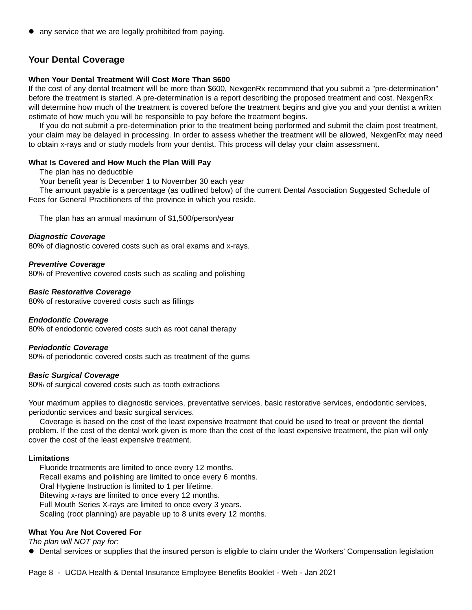any service that we are legally prohibited from paying.

## **Your Dental Coverage**

## **When Your Dental Treatment Will Cost More Than \$600**

If the cost of any dental treatment will be more than \$600, NexgenRx recommend that you submit a "pre-determination" before the treatment is started. A pre-determination is a report describing the proposed treatment and cost. NexgenRx will determine how much of the treatment is covered before the treatment begins and give you and your dentist a written estimate of how much you will be responsible to pay before the treatment begins.

If you do not submit a pre-determination prior to the treatment being performed and submit the claim post treatment, your claim may be delayed in processing. In order to assess whether the treatment will be allowed, NexgenRx may need to obtain x-rays and or study models from your dentist. This process will delay your claim assessment.

## **What Is Covered and How Much the Plan Will Pay**

The plan has no deductible

Your benefit year is December 1 to November 30 each year

The amount payable is a percentage (as outlined below) of the current Dental Association Suggested Schedule of Fees for General Practitioners of the province in which you reside.

The plan has an annual maximum of \$1,500/person/year

#### *Diagnostic Coverage*

80% of diagnostic covered costs such as oral exams and x-rays.

#### *Preventive Coverage*

80% of Preventive covered costs such as scaling and polishing

#### *Basic Restorative Coverage*

80% of restorative covered costs such as fillings

#### *Endodontic Coverage*

80% of endodontic covered costs such as root canal therapy

#### *Periodontic Coverage*

80% of periodontic covered costs such as treatment of the gums

#### *Basic Surgical Coverage*

80% of surgical covered costs such as tooth extractions

Your maximum applies to diagnostic services, preventative services, basic restorative services, endodontic services, periodontic services and basic surgical services.

Coverage is based on the cost of the least expensive treatment that could be used to treat or prevent the dental problem. If the cost of the dental work given is more than the cost of the least expensive treatment, the plan will only cover the cost of the least expensive treatment.

#### **Limitations**

Fluoride treatments are limited to once every 12 months. Recall exams and polishing are limited to once every 6 months. Oral Hygiene Instruction is limited to 1 per lifetime. Bitewing x-rays are limited to once every 12 months. Full Mouth Series X-rays are limited to once every 3 years. Scaling (root planning) are payable up to 8 units every 12 months.

#### **What You Are Not Covered For**

*The plan will NOT pay for:*

• Dental services or supplies that the insured person is eligible to claim under the Workers' Compensation legislation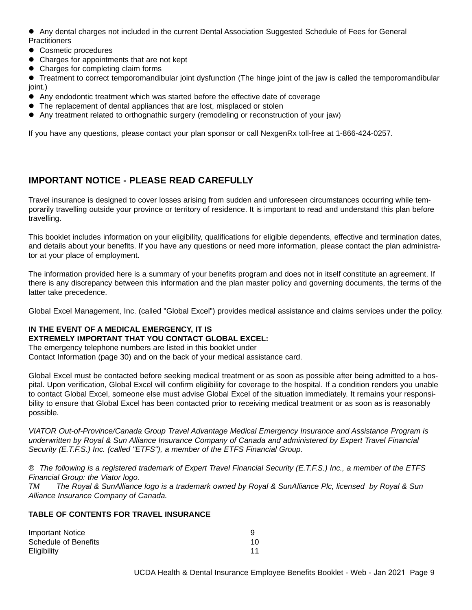• Any dental charges not included in the current Dental Association Suggested Schedule of Fees for General **Practitioners** 

- Cosmetic procedures
- Charges for appointments that are not kept
- Charges for completing claim forms

• Treatment to correct temporomandibular joint dysfunction (The hinge joint of the jaw is called the temporomandibular joint.)

- Any endodontic treatment which was started before the effective date of coverage
- The replacement of dental appliances that are lost, misplaced or stolen
- Any treatment related to orthognathic surgery (remodeling or reconstruction of your jaw)

If you have any questions, please contact your plan sponsor or call NexgenRx toll-free at 1-866-424-0257.

## **IMPORTANT NOTICE - PLEASE READ CAREFULLY**

Travel insurance is designed to cover losses arising from sudden and unforeseen circumstances occurring while temporarily travelling outside your province or territory of residence. It is important to read and understand this plan before travelling.

This booklet includes information on your eligibility, qualifications for eligible dependents, effective and termination dates, and details about your benefits. If you have any questions or need more information, please contact the plan administrator at your place of employment.

The information provided here is a summary of your benefits program and does not in itself constitute an agreement. If there is any discrepancy between this information and the plan master policy and governing documents, the terms of the latter take precedence.

Global Excel Management, Inc. (called "Global Excel") provides medical assistance and claims services under the policy.

## **IN THE EVENT OF A MEDICAL EMERGENCY, IT IS EXTREMELY IMPORTANT THAT YOU CONTACT GLOBAL EXCEL:**

The emergency telephone numbers are listed in this booklet under Contact Information (page 30) and on the back of your medical assistance card.

Global Excel must be contacted before seeking medical treatment or as soon as possible after being admitted to a hospital. Upon verification, Global Excel will confirm eligibility for coverage to the hospital. If a condition renders you unable to contact Global Excel, someone else must advise Global Excel of the situation immediately. It remains your responsibility to ensure that Global Excel has been contacted prior to receiving medical treatment or as soon as is reasonably possible.

*VIATOR Out-of-Province/Canada Group Travel Advantage Medical Emergency Insurance and Assistance Program is underwritten by Royal & Sun Alliance Insurance Company of Canada and administered by Expert Travel Financial Security (E.T.F.S.) Inc. (called "ETFS"), a member of the ETFS Financial Group.*

*® The following is a registered trademark of Expert Travel Financial Security (E.T.F.S.) Inc., a member of the ETFS Financial Group: the Viator logo.*

*TM The Royal & SunAlliance logo is a trademark owned by Royal & SunAlliance Plc, licensed by Royal & Sun Alliance Insurance Company of Canada.*

#### **TABLE OF CONTENTS FOR TRAVEL INSURANCE**

| Important Notice     |    |
|----------------------|----|
| Schedule of Benefits | 10 |
| Eligibility          |    |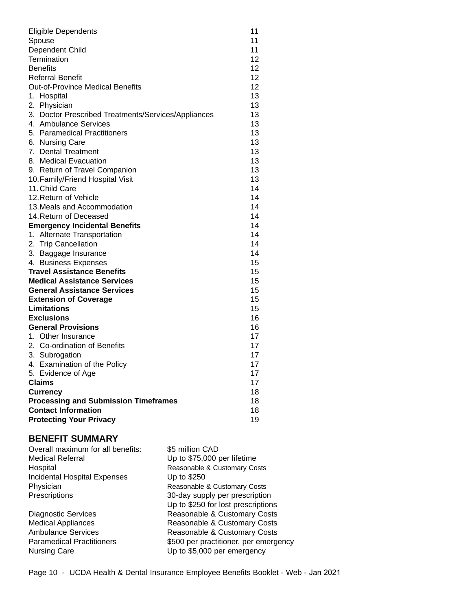| <b>Eligible Dependents</b>                          | 11                |
|-----------------------------------------------------|-------------------|
| Spouse                                              |                   |
| Dependent Child                                     |                   |
| Termination                                         |                   |
| <b>Benefits</b>                                     | $12 \overline{ }$ |
| <b>Referral Benefit</b>                             | 12                |
| <b>Out-of-Province Medical Benefits</b>             | 12 <sup>2</sup>   |
| 1. Hospital                                         | 13                |
| 2. Physician                                        | 13                |
| 3. Doctor Prescribed Treatments/Services/Appliances | 13                |
| 4. Ambulance Services                               | 13                |
| 5. Paramedical Practitioners                        | 13                |
| 6. Nursing Care                                     | 13                |
| 7. Dental Treatment                                 | 13                |
| 8. Medical Evacuation                               | 13                |
| 9. Return of Travel Companion                       | 13                |
| 10. Family/Friend Hospital Visit                    | 13                |
| 11. Child Care                                      | 14                |
| 12. Return of Vehicle                               | 14                |
| 13. Meals and Accommodation                         | 14                |
| 14. Return of Deceased                              | 14                |
| <b>Emergency Incidental Benefits</b>                | 14                |
| 1. Alternate Transportation                         | 14                |
| 2. Trip Cancellation                                | 14                |
| 3. Baggage Insurance                                | 14                |
| 4. Business Expenses                                | 15                |
| <b>Travel Assistance Benefits</b>                   | 15                |
| <b>Medical Assistance Services</b>                  | 15                |
| <b>General Assistance Services</b>                  | 15                |
| <b>Extension of Coverage</b>                        | 15                |
| Limitations                                         | 15                |
| <b>Exclusions</b>                                   | 16                |
| <b>General Provisions</b>                           | 16                |
| 1. Other Insurance                                  | 17                |
| 2. Co-ordination of Benefits                        | 17                |
| 3. Subrogation                                      | 17                |
| 4. Examination of the Policy                        | 17                |
| 5. Evidence of Age                                  | 17                |
| Claims                                              | 17                |
| <b>Currency</b>                                     | 18                |
| <b>Processing and Submission Timeframes</b>         | 18                |
| <b>Contact Information</b>                          | 18                |
| <b>Protecting Your Privacy</b>                      | 19                |

## **BENEFIT SUMMARY**

| Overall maximum for all benefits: | \$5 million CAD                       |
|-----------------------------------|---------------------------------------|
| <b>Medical Referral</b>           | Up to \$75,000 per lifetime           |
| Hospital                          | Reasonable & Customary Costs          |
| Incidental Hospital Expenses      | Up to \$250                           |
| Physician                         | Reasonable & Customary Costs          |
| Prescriptions                     | 30-day supply per prescription        |
|                                   | Up to \$250 for lost prescriptions    |
| <b>Diagnostic Services</b>        | Reasonable & Customary Costs          |
| <b>Medical Appliances</b>         | Reasonable & Customary Costs          |
| <b>Ambulance Services</b>         | Reasonable & Customary Costs          |
| <b>Paramedical Practitioners</b>  | \$500 per practitioner, per emergency |
| <b>Nursing Care</b>               | Up to \$5,000 per emergency           |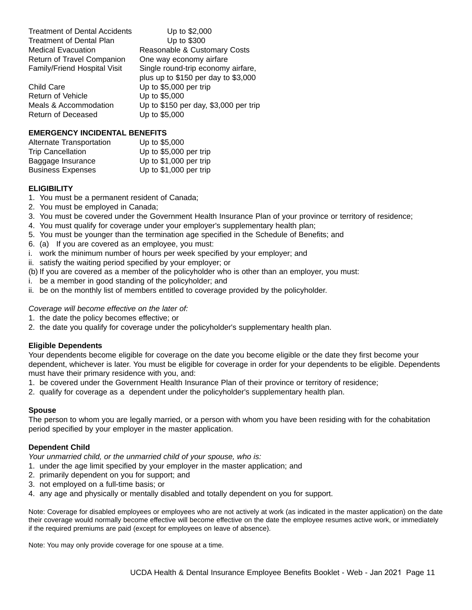| Treatment of Dental Accidents     |
|-----------------------------------|
| <b>Treatment of Dental Plan</b>   |
| <b>Medical Evacuation</b>         |
| <b>Return of Travel Companion</b> |
| Family/Friend Hospital Visit      |
|                                   |

Child Care Up to \$5,000 per trip Return of Vehicle Up to \$5,000 Return of Deceased Up to \$5,000

Up to \$2,000 Up to  $$300$ Reasonable & Customary Costs One way economy airfare Single round-trip economy airfare, plus up to \$150 per day to \$3,000 Meals & Accommodation Up to \$150 per day, \$3,000 per trip

## **EMERGENCY INCIDENTAL BENEFITS**

| Alternate Transportation | Up to \$5,000           |
|--------------------------|-------------------------|
| <b>Trip Cancellation</b> | Up to \$5,000 per trip  |
| Baggage Insurance        | Up to $$1,000$ per trip |
| <b>Business Expenses</b> | Up to $$1,000$ per trip |

## **ELIGIBILITY**

- 1. You must be a permanent resident of Canada;
- 2. You must be employed in Canada;
- 3. You must be covered under the Government Health Insurance Plan of your province or territory of residence;
- 4. You must qualify for coverage under your employer's supplementary health plan;
- 5. You must be younger than the termination age specified in the Schedule of Benefits; and
- 6. (a) If you are covered as an employee, you must:
- i. work the minimum number of hours per week specified by your employer; and
- ii. satisfy the waiting period specified by your employer; or
- (b) If you are covered as a member of the policyholder who is other than an employer, you must:
- i. be a member in good standing of the policyholder; and
- ii. be on the monthly list of members entitled to coverage provided by the policyholder.

#### *Coverage will become effective on the later of:*

- 1. the date the policy becomes effective; or
- 2. the date you qualify for coverage under the policyholder's supplementary health plan.

## **Eligible Dependents**

Your dependents become eligible for coverage on the date you become eligible or the date they first become your dependent, whichever is later. You must be eligible for coverage in order for your dependents to be eligible. Dependents must have their primary residence with you, and:

- 1. be covered under the Government Health Insurance Plan of their province or territory of residence;
- 2. qualify for coverage as a dependent under the policyholder's supplementary health plan.

#### **Spouse**

The person to whom you are legally married, or a person with whom you have been residing with for the cohabitation period specified by your employer in the master application.

## **Dependent Child**

*Your unmarried child, or the unmarried child of your spouse, who is:*

- 1. under the age limit specified by your employer in the master application; and
- 2. primarily dependent on you for support; and
- 3. not employed on a full-time basis; or
- 4. any age and physically or mentally disabled and totally dependent on you for support.

Note: Coverage for disabled employees or employees who are not actively at work (as indicated in the master application) on the date their coverage would normally become effective will become effective on the date the employee resumes active work, or immediately if the required premiums are paid (except for employees on leave of absence).

Note: You may only provide coverage for one spouse at a time.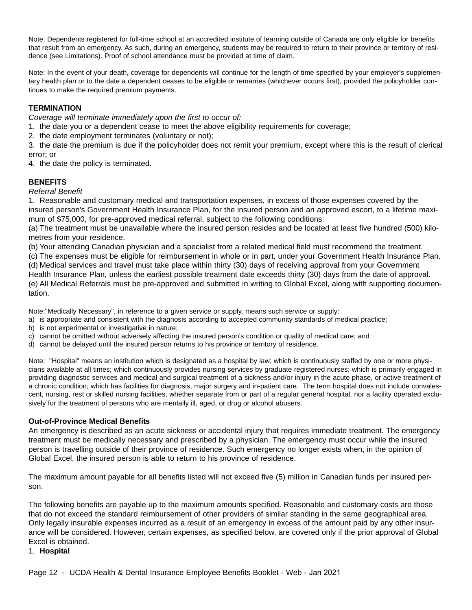Note: Dependents registered for full-time school at an accredited institute of learning outside of Canada are only eligible for benefits that result from an emergency. As such, during an emergency, students may be required to return to their province or territory of residence (see Limitations). Proof of school attendance must be provided at time of claim.

Note: In the event of your death, coverage for dependents will continue for the length of time specified by your employer's supplementary health plan or to the date a dependent ceases to be eligible or remarries (whichever occurs first), provided the policyholder continues to make the required premium payments.

## **TERMINATION**

*Coverage will terminate immediately upon the first to occur of:* 

- 1. the date you or a dependent cease to meet the above eligibility requirements for coverage;
- 2. the date employment terminates (voluntary or not);

3. the date the premium is due if the policyholder does not remit your premium, except where this is the result of clerical error; or

4. the date the policy is terminated.

## **BENEFITS**

#### *Referral Benefit*

1. Reasonable and customary medical and transportation expenses, in excess of those expenses covered by the insured person's Government Health Insurance Plan, for the insured person and an approved escort, to a lifetime maximum of \$75,000, for pre-approved medical referral, subject to the following conditions:

(a) The treatment must be unavailable where the insured person resides and be located at least five hundred (500) kilometres from your residence.

(b) Your attending Canadian physician and a specialist from a related medical field must recommend the treatment.

(c) The expenses must be eligible for reimbursement in whole or in part, under your Government Health Insurance Plan. (d) Medical services and travel must take place within thirty (30) days of receiving approval from your Government

Health Insurance Plan, unless the earliest possible treatment date exceeds thirty (30) days from the date of approval. (e) All Medical Referrals must be pre-approved and submitted in writing to Global Excel, along with supporting documentation.

Note:"Medically Necessary", in reference to a given service or supply, means such service or supply:

- a) is appropriate and consistent with the diagnosis according to accepted community standards of medical practice;
- b) is not experimental or investigative in nature;
- c) cannot be omitted without adversely affecting the insured person's condition or quality of medical care; and
- d) cannot be delayed until the insured person returns to his province or territory of residence.

Note: "Hospital" means an institution which is designated as a hospital by law; which is continuously staffed by one or more physicians available at all times; which continuously provides nursing services by graduate registered nurses; which is primarily engaged in providing diagnostic services and medical and surgical treatment of a sickness and/or injury in the acute phase, or active treatment of a chronic condition; which has facilities for diagnosis, major surgery and in-patient care. The term hospital does not include convalescent, nursing, rest or skilled nursing facilities, whether separate from or part of a regular general hospital, nor a facility operated exclusively for the treatment of persons who are mentally ill, aged, or drug or alcohol abusers.

#### **Out-of-Province Medical Benefits**

An emergency is described as an acute sickness or accidental injury that requires immediate treatment. The emergency treatment must be medically necessary and prescribed by a physician. The emergency must occur while the insured person is travelling outside of their province of residence. Such emergency no longer exists when, in the opinion of Global Excel, the insured person is able to return to his province of residence.

The maximum amount payable for all benefits listed will not exceed five (5) million in Canadian funds per insured person.

The following benefits are payable up to the maximum amounts specified. Reasonable and customary costs are those that do not exceed the standard reimbursement of other providers of similar standing in the same geographical area. Only legally insurable expenses incurred as a result of an emergency in excess of the amount paid by any other insurance will be considered. However, certain expenses, as specified below, are covered only if the prior approval of Global Excel is obtained.

#### 1. **Hospital**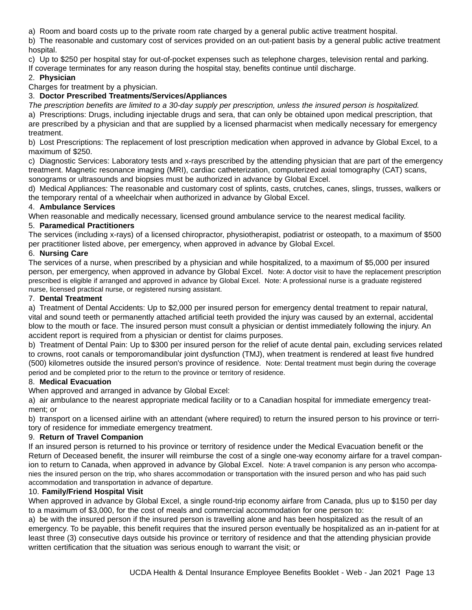a) Room and board costs up to the private room rate charged by a general public active treatment hospital.

b) The reasonable and customary cost of services provided on an out-patient basis by a general public active treatment hospital.

c) Up to \$250 per hospital stay for out-of-pocket expenses such as telephone charges, television rental and parking. If coverage terminates for any reason during the hospital stay, benefits continue until discharge.

## 2. **Physician**

Charges for treatment by a physician.

## 3. **Doctor Prescribed Treatments/Services/Appliances**

*The prescription benefits are limited to a 30-day supply per prescription, unless the insured person is hospitalized.* a) Prescriptions: Drugs, including injectable drugs and sera, that can only be obtained upon medical prescription, that are prescribed by a physician and that are supplied by a licensed pharmacist when medically necessary for emergency treatment.

b) Lost Prescriptions: The replacement of lost prescription medication when approved in advance by Global Excel, to a maximum of \$250.

c) Diagnostic Services: Laboratory tests and x-rays prescribed by the attending physician that are part of the emergency treatment. Magnetic resonance imaging (MRI), cardiac catheterization, computerized axial tomography (CAT) scans, sonograms or ultrasounds and biopsies must be authorized in advance by Global Excel.

d) Medical Appliances: The reasonable and customary cost of splints, casts, crutches, canes, slings, trusses, walkers or the temporary rental of a wheelchair when authorized in advance by Global Excel.

## 4. **Ambulance Services**

When reasonable and medically necessary, licensed ground ambulance service to the nearest medical facility.

## 5. **Paramedical Practitioners**

The services (including x-rays) of a licensed chiropractor, physiotherapist, podiatrist or osteopath, to a maximum of \$500 per practitioner listed above, per emergency, when approved in advance by Global Excel.

## 6. **Nursing Care**

The services of a nurse, when prescribed by a physician and while hospitalized, to a maximum of \$5,000 per insured person, per emergency, when approved in advance by Global Excel. Note: A doctor visit to have the replacement prescription prescribed is eligible if arranged and approved in advance by Global Excel. Note: A professional nurse is a graduate registered nurse, licensed practical nurse, or registered nursing assistant.

## 7. **Dental Treatment**

a) Treatment of Dental Accidents: Up to \$2,000 per insured person for emergency dental treatment to repair natural, vital and sound teeth or permanently attached artificial teeth provided the injury was caused by an external, accidental blow to the mouth or face. The insured person must consult a physician or dentist immediately following the injury. An accident report is required from a physician or dentist for claims purposes.

b) Treatment of Dental Pain: Up to \$300 per insured person for the relief of acute dental pain, excluding services related to crowns, root canals or temporomandibular joint dysfunction (TMJ), when treatment is rendered at least five hundred (500) kilometres outside the insured person's province of residence. Note: Dental treatment must begin during the coverage period and be completed prior to the return to the province or territory of residence.

## 8. **Medical Evacuation**

When approved and arranged in advance by Global Excel:

a) air ambulance to the nearest appropriate medical facility or to a Canadian hospital for immediate emergency treatment; or

b) transport on a licensed airline with an attendant (where required) to return the insured person to his province or territory of residence for immediate emergency treatment.

## 9. **Return of Travel Companion**

If an insured person is returned to his province or territory of residence under the Medical Evacuation benefit or the Return of Deceased benefit, the insurer will reimburse the cost of a single one-way economy airfare for a travel companion to return to Canada, when approved in advance by Global Excel. Note: A travel companion is any person who accompanies the insured person on the trip, who shares accommodation or transportation with the insured person and who has paid such accommodation and transportation in advance of departure.

## 10. **Family/Friend Hospital Visit**

When approved in advance by Global Excel, a single round-trip economy airfare from Canada, plus up to \$150 per day to a maximum of \$3,000, for the cost of meals and commercial accommodation for one person to:

a) be with the insured person if the insured person is travelling alone and has been hospitalized as the result of an emergency. To be payable, this benefit requires that the insured person eventually be hospitalized as an in-patient for at least three (3) consecutive days outside his province or territory of residence and that the attending physician provide written certification that the situation was serious enough to warrant the visit; or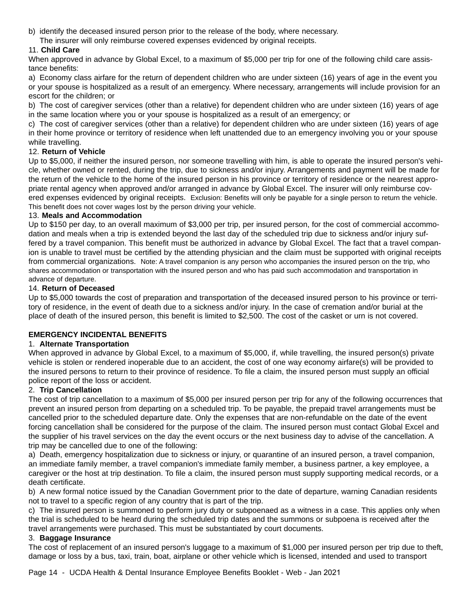- b) identify the deceased insured person prior to the release of the body, where necessary.
	- The insurer will only reimburse covered expenses evidenced by original receipts.

## 11. **Child Care**

When approved in advance by Global Excel, to a maximum of \$5,000 per trip for one of the following child care assistance benefits:

a) Economy class airfare for the return of dependent children who are under sixteen (16) years of age in the event you or your spouse is hospitalized as a result of an emergency. Where necessary, arrangements will include provision for an escort for the children; or

b) The cost of caregiver services (other than a relative) for dependent children who are under sixteen (16) years of age in the same location where you or your spouse is hospitalized as a result of an emergency; or

c) The cost of caregiver services (other than a relative) for dependent children who are under sixteen (16) years of age in their home province or territory of residence when left unattended due to an emergency involving you or your spouse while travelling.

## 12. **Return of Vehicle**

Up to \$5,000, if neither the insured person, nor someone travelling with him, is able to operate the insured person's vehicle, whether owned or rented, during the trip, due to sickness and/or injury. Arrangements and payment will be made for the return of the vehicle to the home of the insured person in his province or territory of residence or the nearest appropriate rental agency when approved and/or arranged in advance by Global Excel. The insurer will only reimburse covered expenses evidenced by original receipts. Exclusion: Benefits will only be payable for a single person to return the vehicle. This benefit does not cover wages lost by the person driving your vehicle.

## 13. **Meals and Accommodation**

Up to \$150 per day, to an overall maximum of \$3,000 per trip, per insured person, for the cost of commercial accommodation and meals when a trip is extended beyond the last day of the scheduled trip due to sickness and/or injury suffered by a travel companion. This benefit must be authorized in advance by Global Excel. The fact that a travel companion is unable to travel must be certified by the attending physician and the claim must be supported with original receipts from commercial organizations. Note: A travel companion is any person who accompanies the insured person on the trip, who shares accommodation or transportation with the insured person and who has paid such accommodation and transportation in advance of departure.

## 14. **Return of Deceased**

Up to \$5,000 towards the cost of preparation and transportation of the deceased insured person to his province or territory of residence, in the event of death due to a sickness and/or injury. In the case of cremation and/or burial at the place of death of the insured person, this benefit is limited to \$2,500. The cost of the casket or urn is not covered.

## **EMERGENCY INCIDENTAL BENEFITS**

## 1. **Alternate Transportation**

When approved in advance by Global Excel, to a maximum of \$5,000, if, while travelling, the insured person(s) private vehicle is stolen or rendered inoperable due to an accident, the cost of one way economy airfare(s) will be provided to the insured persons to return to their province of residence. To file a claim, the insured person must supply an official police report of the loss or accident.

## 2. **Trip Cancellation**

The cost of trip cancellation to a maximum of \$5,000 per insured person per trip for any of the following occurrences that prevent an insured person from departing on a scheduled trip. To be payable, the prepaid travel arrangements must be cancelled prior to the scheduled departure date. Only the expenses that are non-refundable on the date of the event forcing cancellation shall be considered for the purpose of the claim. The insured person must contact Global Excel and the supplier of his travel services on the day the event occurs or the next business day to advise of the cancellation. A trip may be cancelled due to one of the following:

a) Death, emergency hospitalization due to sickness or injury, or quarantine of an insured person, a travel companion, an immediate family member, a travel companion's immediate family member, a business partner, a key employee, a caregiver or the host at trip destination. To file a claim, the insured person must supply supporting medical records, or a death certificate.

b) A new formal notice issued by the Canadian Government prior to the date of departure, warning Canadian residents not to travel to a specific region of any country that is part of the trip.

c) The insured person is summoned to perform jury duty or subpoenaed as a witness in a case. This applies only when the trial is scheduled to be heard during the scheduled trip dates and the summons or subpoena is received after the travel arrangements were purchased. This must be substantiated by court documents.

## 3. **Baggage Insurance**

The cost of replacement of an insured person's luggage to a maximum of \$1,000 per insured person per trip due to theft, damage or loss by a bus, taxi, train, boat, airplane or other vehicle which is licensed, intended and used to transport

Page 14 - UCDA Health & Dental Insurance Employee Benefits Booklet - Web - Jan 2021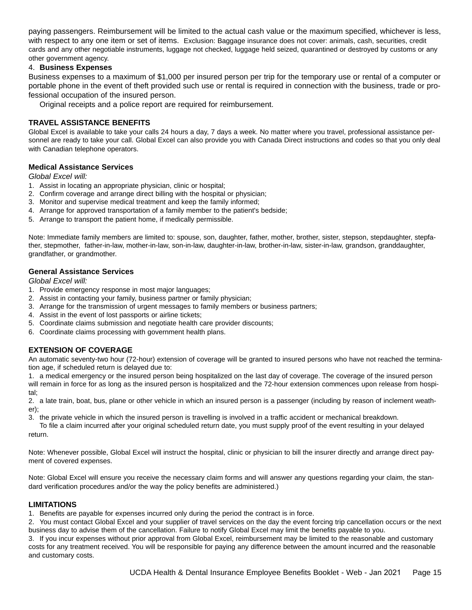paying passengers. Reimbursement will be limited to the actual cash value or the maximum specified, whichever is less, with respect to any one item or set of items. Exclusion: Baggage insurance does not cover: animals, cash, securities, credit cards and any other negotiable instruments, luggage not checked, luggage held seized, quarantined or destroyed by customs or any other government agency.

#### 4. **Business Expenses**

Business expenses to a maximum of \$1,000 per insured person per trip for the temporary use or rental of a computer or portable phone in the event of theft provided such use or rental is required in connection with the business, trade or professional occupation of the insured person.

Original receipts and a police report are required for reimbursement.

## **TRAVEL ASSISTANCE BENEFITS**

Global Excel is available to take your calls 24 hours a day, 7 days a week. No matter where you travel, professional assistance personnel are ready to take your call. Global Excel can also provide you with Canada Direct instructions and codes so that you only deal with Canadian telephone operators.

#### **Medical Assistance Services**

*Global Excel will:*

- 1. Assist in locating an appropriate physician, clinic or hospital;
- 2. Confirm coverage and arrange direct billing with the hospital or physician;
- 3. Monitor and supervise medical treatment and keep the family informed;
- 4. Arrange for approved transportation of a family member to the patient's bedside;
- 5. Arrange to transport the patient home, if medically permissible.

Note: Immediate family members are limited to: spouse, son, daughter, father, mother, brother, sister, stepson, stepdaughter, stepfather, stepmother, father-in-law, mother-in-law, son-in-law, daughter-in-law, brother-in-law, sister-in-law, grandson, granddaughter, grandfather, or grandmother.

#### **General Assistance Services**

*Global Excel will:*

- 1. Provide emergency response in most major languages;
- 2. Assist in contacting your family, business partner or family physician;
- 3. Arrange for the transmission of urgent messages to family members or business partners;
- 4. Assist in the event of lost passports or airline tickets;
- 5. Coordinate claims submission and negotiate health care provider discounts;
- 6. Coordinate claims processing with government health plans.

#### **EXTENSION OF COVERAGE**

An automatic seventy-two hour (72-hour) extension of coverage will be granted to insured persons who have not reached the termination age, if scheduled return is delayed due to:

1. a medical emergency or the insured person being hospitalized on the last day of coverage. The coverage of the insured person will remain in force for as long as the insured person is hospitalized and the 72-hour extension commences upon release from hospital;

2. a late train, boat, bus, plane or other vehicle in which an insured person is a passenger (including by reason of inclement weather);

3. the private vehicle in which the insured person is travelling is involved in a traffic accident or mechanical breakdown.

To file a claim incurred after your original scheduled return date, you must supply proof of the event resulting in your delayed return.

Note: Whenever possible, Global Excel will instruct the hospital, clinic or physician to bill the insurer directly and arrange direct payment of covered expenses.

Note: Global Excel will ensure you receive the necessary claim forms and will answer any questions regarding your claim, the standard verification procedures and/or the way the policy benefits are administered.)

#### **LIMITATIONS**

1. Benefits are payable for expenses incurred only during the period the contract is in force.

2. You must contact Global Excel and your supplier of travel services on the day the event forcing trip cancellation occurs or the next business day to advise them of the cancellation. Failure to notify Global Excel may limit the benefits payable to you.

3. If you incur expenses without prior approval from Global Excel, reimbursement may be limited to the reasonable and customary costs for any treatment received. You will be responsible for paying any difference between the amount incurred and the reasonable and customary costs.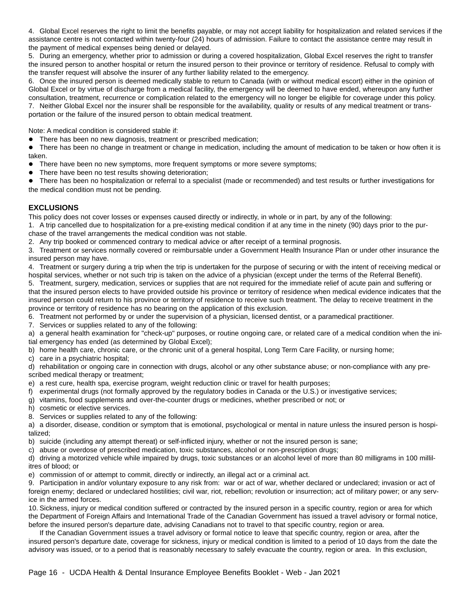4. Global Excel reserves the right to limit the benefits payable, or may not accept liability for hospitalization and related services if the assistance centre is not contacted within twenty-four (24) hours of admission. Failure to contact the assistance centre may result in the payment of medical expenses being denied or delayed.

5. During an emergency, whether prior to admission or during a covered hospitalization, Global Excel reserves the right to transfer the insured person to another hospital or return the insured person to their province or territory of residence. Refusal to comply with the transfer request will absolve the insurer of any further liability related to the emergency.

6. Once the insured person is deemed medically stable to return to Canada (with or without medical escort) either in the opinion of Global Excel or by virtue of discharge from a medical facility, the emergency will be deemed to have ended, whereupon any further consultation, treatment, recurrence or complication related to the emergency will no longer be eligible for coverage under this policy. 7. Neither Global Excel nor the insurer shall be responsible for the availability, quality or results of any medical treatment or trans-

portation or the failure of the insured person to obtain medical treatment.

Note: A medical condition is considered stable if:

• There has been no new diagnosis, treatment or prescribed medication;

• There has been no change in treatment or change in medication, including the amount of medication to be taken or how often it is taken.

- There have been no new symptoms, more frequent symptoms or more severe symptoms;
- There have been no test results showing deterioration;

z There has been no hospitalization or referral to a specialist (made or recommended) and test results or further investigations for the medical condition must not be pending.

## **EXCLUSIONS**

This policy does not cover losses or expenses caused directly or indirectly, in whole or in part, by any of the following:

1. A trip cancelled due to hospitalization for a pre-existing medical condition if at any time in the ninety (90) days prior to the purchase of the travel arrangements the medical condition was not stable.

2. Any trip booked or commenced contrary to medical advice or after receipt of a terminal prognosis.

3. Treatment or services normally covered or reimbursable under a Government Health Insurance Plan or under other insurance the insured person may have.

4. Treatment or surgery during a trip when the trip is undertaken for the purpose of securing or with the intent of receiving medical or hospital services, whether or not such trip is taken on the advice of a physician (except under the terms of the Referral Benefit).

5. Treatment, surgery, medication, services or supplies that are not required for the immediate relief of acute pain and suffering or that the insured person elects to have provided outside his province or territory of residence when medical evidence indicates that the insured person could return to his province or territory of residence to receive such treatment. The delay to receive treatment in the province or territory of residence has no bearing on the application of this exclusion.

6. Treatment not performed by or under the supervision of a physician, licensed dentist, or a paramedical practitioner.

7. Services or supplies related to any of the following:

a) a general health examination for "check-up" purposes, or routine ongoing care, or related care of a medical condition when the initial emergency has ended (as determined by Global Excel);

b) home health care, chronic care, or the chronic unit of a general hospital, Long Term Care Facility, or nursing home;

c) care in a psychiatric hospital;

d) rehabilitation or ongoing care in connection with drugs, alcohol or any other substance abuse; or non-compliance with any prescribed medical therapy or treatment;

e) a rest cure, health spa, exercise program, weight reduction clinic or travel for health purposes;

- f) experimental drugs (not formally approved by the regulatory bodies in Canada or the U.S.) or investigative services;
- g) vitamins, food supplements and over-the-counter drugs or medicines, whether prescribed or not; or
- h) cosmetic or elective services.
- 8. Services or supplies related to any of the following:

a) a disorder, disease, condition or symptom that is emotional, psychological or mental in nature unless the insured person is hospitalized;

b) suicide (including any attempt thereat) or self-inflicted injury, whether or not the insured person is sane;

c) abuse or overdose of prescribed medication, toxic substances, alcohol or non-prescription drugs;

d) driving a motorized vehicle while impaired by drugs, toxic substances or an alcohol level of more than 80 milligrams in 100 millilitres of blood; or

e) commission of or attempt to commit, directly or indirectly, an illegal act or a criminal act.

9. Participation in and/or voluntary exposure to any risk from: war or act of war, whether declared or undeclared; invasion or act of foreign enemy; declared or undeclared hostilities; civil war, riot, rebellion; revolution or insurrection; act of military power; or any service in the armed forces.

10. Sickness, injury or medical condition suffered or contracted by the insured person in a specific country, region or area for which the Department of Foreign Affairs and International Trade of the Canadian Government has issued a travel advisory or formal notice, before the insured person's departure date, advising Canadians not to travel to that specific country, region or area.

If the Canadian Government issues a travel advisory or formal notice to leave that specific country, region or area, after the insured person's departure date, coverage for sickness, injury or medical condition is limited to a period of 10 days from the date the advisory was issued, or to a period that is reasonably necessary to safely evacuate the country, region or area. In this exclusion,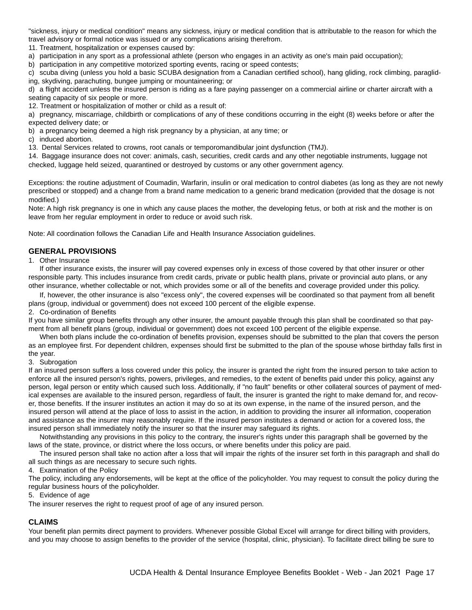"sickness, injury or medical condition" means any sickness, injury or medical condition that is attributable to the reason for which the travel advisory or formal notice was issued or any complications arising therefrom.

11. Treatment, hospitalization or expenses caused by:

a) participation in any sport as a professional athlete (person who engages in an activity as one's main paid occupation);

b) participation in any competitive motorized sporting events, racing or speed contests;

c) scuba diving (unless you hold a basic SCUBA designation from a Canadian certified school), hang gliding, rock climbing, paragliding, skydiving, parachuting, bungee jumping or mountaineering; or

d) a flight accident unless the insured person is riding as a fare paying passenger on a commercial airline or charter aircraft with a seating capacity of six people or more.

12. Treatment or hospitalization of mother or child as a result of:

a) pregnancy, miscarriage, childbirth or complications of any of these conditions occurring in the eight (8) weeks before or after the expected delivery date; or

b) a pregnancy being deemed a high risk pregnancy by a physician, at any time; or

c) induced abortion.

13. Dental Services related to crowns, root canals or temporomandibular joint dysfunction (TMJ).

14. Baggage insurance does not cover: animals, cash, securities, credit cards and any other negotiable instruments, luggage not checked, luggage held seized, quarantined or destroyed by customs or any other government agency.

Exceptions: the routine adjustment of Coumadin, Warfarin, insulin or oral medication to control diabetes (as long as they are not newly prescribed or stopped) and a change from a brand name medication to a generic brand medication (provided that the dosage is not modified.)

Note: A high risk pregnancy is one in which any cause places the mother, the developing fetus, or both at risk and the mother is on leave from her regular employment in order to reduce or avoid such risk.

Note: All coordination follows the Canadian Life and Health Insurance Association guidelines.

#### **GENERAL PROVISIONS**

#### 1. Other Insurance

If other insurance exists, the insurer will pay covered expenses only in excess of those covered by that other insurer or other responsible party. This includes insurance from credit cards, private or public health plans, private or provincial auto plans, or any other insurance, whether collectable or not, which provides some or all of the benefits and coverage provided under this policy.

If, however, the other insurance is also "excess only", the covered expenses will be coordinated so that payment from all benefit plans (group, individual or government) does not exceed 100 percent of the eligible expense.

#### 2. Co-ordination of Benefits

If you have similar group benefits through any other insurer, the amount payable through this plan shall be coordinated so that payment from all benefit plans (group, individual or government) does not exceed 100 percent of the eligible expense.

When both plans include the co-ordination of benefits provision, expenses should be submitted to the plan that covers the person as an employee first. For dependent children, expenses should first be submitted to the plan of the spouse whose birthday falls first in the year.

#### 3. Subrogation

If an insured person suffers a loss covered under this policy, the insurer is granted the right from the insured person to take action to enforce all the insured person's rights, powers, privileges, and remedies, to the extent of benefits paid under this policy, against any person, legal person or entity which caused such loss. Additionally, if "no fault" benefits or other collateral sources of payment of medical expenses are available to the insured person, regardless of fault, the insurer is granted the right to make demand for, and recover, those benefits. If the insurer institutes an action it may do so at its own expense, in the name of the insured person, and the insured person will attend at the place of loss to assist in the action, in addition to providing the insurer all information, cooperation and assistance as the insurer may reasonably require. If the insured person institutes a demand or action for a covered loss, the insured person shall immediately notify the insurer so that the insurer may safeguard its rights.

Notwithstanding any provisions in this policy to the contrary, the insurer's rights under this paragraph shall be governed by the laws of the state, province, or district where the loss occurs, or where benefits under this policy are paid.

The insured person shall take no action after a loss that will impair the rights of the insurer set forth in this paragraph and shall do all such things as are necessary to secure such rights.

4. Examination of the Policy

The policy, including any endorsements, will be kept at the office of the policyholder. You may request to consult the policy during the regular business hours of the policyholder.

5. Evidence of age

The insurer reserves the right to request proof of age of any insured person.

#### **CLAIMS**

Your benefit plan permits direct payment to providers. Whenever possible Global Excel will arrange for direct billing with providers, and you may choose to assign benefits to the provider of the service (hospital, clinic, physician). To facilitate direct billing be sure to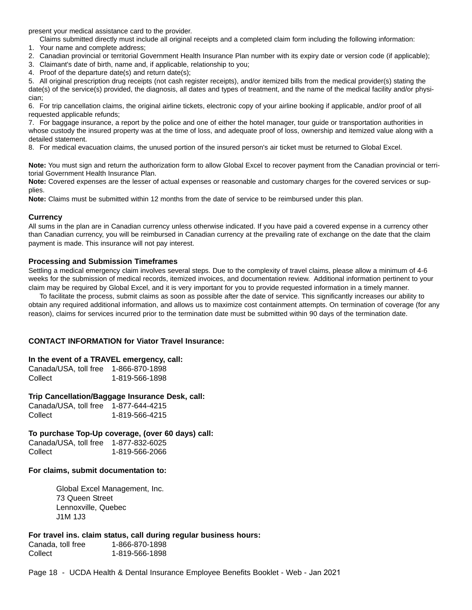present your medical assistance card to the provider.

Claims submitted directly must include all original receipts and a completed claim form including the following information:

- 1. Your name and complete address;
- 2. Canadian provincial or territorial Government Health Insurance Plan number with its expiry date or version code (if applicable);

3. Claimant's date of birth, name and, if applicable, relationship to you;

4. Proof of the departure date(s) and return date(s);

5. All original prescription drug receipts (not cash register receipts), and/or itemized bills from the medical provider(s) stating the date(s) of the service(s) provided, the diagnosis, all dates and types of treatment, and the name of the medical facility and/or physician;

6. For trip cancellation claims, the original airline tickets, electronic copy of your airline booking if applicable, and/or proof of all requested applicable refunds;

7. For baggage insurance, a report by the police and one of either the hotel manager, tour guide or transportation authorities in whose custody the insured property was at the time of loss, and adequate proof of loss, ownership and itemized value along with a detailed statement.

8. For medical evacuation claims, the unused portion of the insured person's air ticket must be returned to Global Excel.

**Note:** You must sign and return the authorization form to allow Global Excel to recover payment from the Canadian provincial or territorial Government Health Insurance Plan.

**Note:** Covered expenses are the lesser of actual expenses or reasonable and customary charges for the covered services or supplies.

**Note:** Claims must be submitted within 12 months from the date of service to be reimbursed under this plan.

#### **Currency**

All sums in the plan are in Canadian currency unless otherwise indicated. If you have paid a covered expense in a currency other than Canadian currency, you will be reimbursed in Canadian currency at the prevailing rate of exchange on the date that the claim payment is made. This insurance will not pay interest.

#### **Processing and Submission Timeframes**

Settling a medical emergency claim involves several steps. Due to the complexity of travel claims, please allow a minimum of 4-6 weeks for the submission of medical records, itemized invoices, and documentation review. Additional information pertinent to your claim may be required by Global Excel, and it is very important for you to provide requested information in a timely manner.

To facilitate the process, submit claims as soon as possible after the date of service. This significantly increases our ability to obtain any required additional information, and allows us to maximize cost containment attempts. On termination of coverage (for any reason), claims for services incurred prior to the termination date must be submitted within 90 days of the termination date.

#### **CONTACT INFORMATION for Viator Travel Insurance:**

#### **In the event of a TRAVEL emergency, call:**

| Canada/USA, toll free | 1-866-870-1898 |
|-----------------------|----------------|
| Collect               | 1-819-566-1898 |

#### **Trip Cancellation/Baggage Insurance Desk, call:**

| Canada/USA, toll free | 1-877-644-4215 |
|-----------------------|----------------|
| Collect               | 1-819-566-4215 |

#### **To purchase Top-Up coverage, (over 60 days) call:**

Canada/USA, toll free 1-877-832-6025 Collect 1-819-566-2066

#### **For claims, submit documentation to:**

Global Excel Management, Inc. 73 Queen Street Lennoxville, Quebec J1M 1J3

#### **For travel ins. claim status, call during regular business hours:**

Canada, toll free 1-866-870-1898 Collect 1-819-566-1898

Page 18 - UCDA Health & Dental Insurance Employee Benefits Booklet - Web - Jan 2021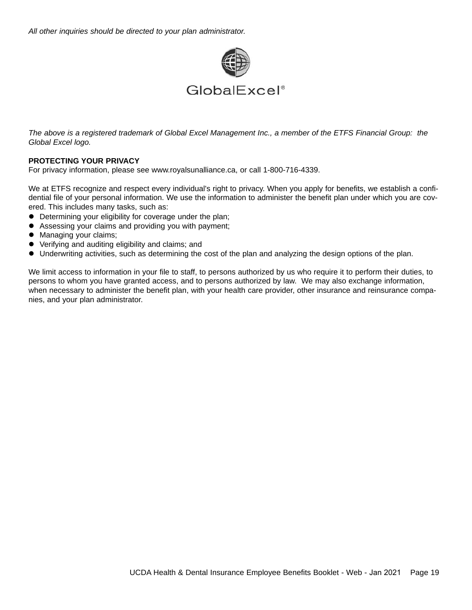*All other inquiries should be directed to your plan administrator.*



*The above is a registered trademark of Global Excel Management Inc., a member of the ETFS Financial Group: the Global Excel logo.*

## **PROTECTING YOUR PRIVACY**

For privacy information, please see www.royalsunalliance.ca, or call 1-800-716-4339.

We at ETFS recognize and respect every individual's right to privacy. When you apply for benefits, we establish a confidential file of your personal information. We use the information to administer the benefit plan under which you are covered. This includes many tasks, such as:

- Determining your eligibility for coverage under the plan;
- Assessing your claims and providing you with payment;
- Managing your claims;
- Verifying and auditing eligibility and claims; and
- $\bullet$  Underwriting activities, such as determining the cost of the plan and analyzing the design options of the plan.

We limit access to information in your file to staff, to persons authorized by us who require it to perform their duties, to persons to whom you have granted access, and to persons authorized by law. We may also exchange information, when necessary to administer the benefit plan, with your health care provider, other insurance and reinsurance companies, and your plan administrator.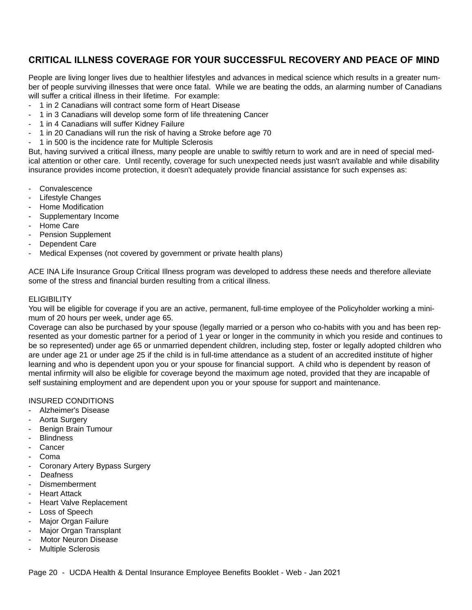## **CRITICAL ILLNESS COVERAGE FOR YOUR SUCCESSFUL RECOVERY AND PEACE OF MIND**

People are living longer lives due to healthier lifestyles and advances in medical science which results in a greater number of people surviving illnesses that were once fatal. While we are beating the odds, an alarming number of Canadians will suffer a critical illness in their lifetime. For example:

- 1 in 2 Canadians will contract some form of Heart Disease
- 1 in 3 Canadians will develop some form of life threatening Cancer
- 1 in 4 Canadians will suffer Kidney Failure
- 1 in 20 Canadians will run the risk of having a Stroke before age 70
- 1 in 500 is the incidence rate for Multiple Sclerosis

But, having survived a critical illness, many people are unable to swiftly return to work and are in need of special medical attention or other care. Until recently, coverage for such unexpected needs just wasn't available and while disability insurance provides income protection, it doesn't adequately provide financial assistance for such expenses as:

- Convalescence
- Lifestyle Changes
- Home Modification
- Supplementary Income
- Home Care
- Pension Supplement
- Dependent Care
- Medical Expenses (not covered by government or private health plans)

ACE INA Life Insurance Group Critical Illness program was developed to address these needs and therefore alleviate some of the stress and financial burden resulting from a critical illness.

## **ELIGIBILITY**

You will be eligible for coverage if you are an active, permanent, full-time employee of the Policyholder working a minimum of 20 hours per week, under age 65.

Coverage can also be purchased by your spouse (legally married or a person who co-habits with you and has been represented as your domestic partner for a period of 1 year or longer in the community in which you reside and continues to be so represented) under age 65 or unmarried dependent children, including step, foster or legally adopted children who are under age 21 or under age 25 if the child is in full-time attendance as a student of an accredited institute of higher learning and who is dependent upon you or your spouse for financial support. A child who is dependent by reason of mental infirmity will also be eligible for coverage beyond the maximum age noted, provided that they are incapable of self sustaining employment and are dependent upon you or your spouse for support and maintenance.

#### INSURED CONDITIONS

- Alzheimer's Disease
- Aorta Surgery
- Benign Brain Tumour
- Blindness
- Cancer
- Coma
- Coronary Artery Bypass Surgery
- Deafness
- Dismemberment
- **Heart Attack**
- Heart Valve Replacement
- Loss of Speech
- Major Organ Failure
- Major Organ Transplant
- Motor Neuron Disease
- Multiple Sclerosis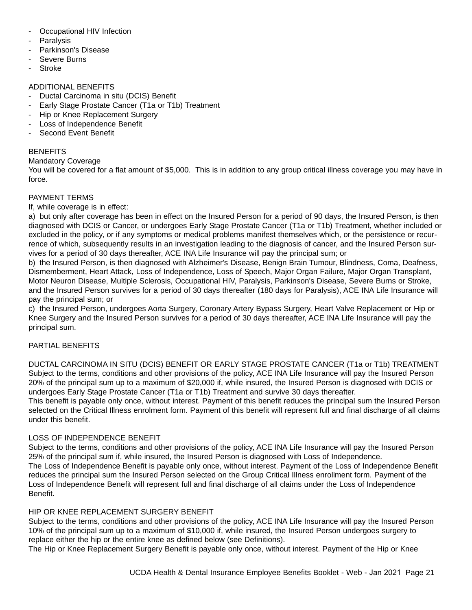- Occupational HIV Infection
- **Paralysis**
- Parkinson's Disease
- Severe Burns
- **Stroke**

## ADDITIONAL BENEFITS

- Ductal Carcinoma in situ (DCIS) Benefit
- Early Stage Prostate Cancer (T1a or T1b) Treatment
- Hip or Knee Replacement Surgery
- Loss of Independence Benefit
- Second Event Benefit

## **BENEFITS**

Mandatory Coverage

You will be covered for a flat amount of \$5,000. This is in addition to any group critical illness coverage you may have in force.

## PAYMENT TERMS

If, while coverage is in effect:

a) but only after coverage has been in effect on the Insured Person for a period of 90 days, the Insured Person, is then diagnosed with DCIS or Cancer, or undergoes Early Stage Prostate Cancer (T1a or T1b) Treatment, whether included or excluded in the policy, or if any symptoms or medical problems manifest themselves which, or the persistence or recurrence of which, subsequently results in an investigation leading to the diagnosis of cancer, and the Insured Person survives for a period of 30 days thereafter, ACE INA Life Insurance will pay the principal sum; or

b) the Insured Person, is then diagnosed with Alzheimer's Disease, Benign Brain Tumour, Blindness, Coma, Deafness, Dismemberment, Heart Attack, Loss of Independence, Loss of Speech, Major Organ Failure, Major Organ Transplant, Motor Neuron Disease, Multiple Sclerosis, Occupational HIV, Paralysis, Parkinson's Disease, Severe Burns or Stroke, and the Insured Person survives for a period of 30 days thereafter (180 days for Paralysis), ACE INA Life Insurance will pay the principal sum; or

c) the Insured Person, undergoes Aorta Surgery, Coronary Artery Bypass Surgery, Heart Valve Replacement or Hip or Knee Surgery and the Insured Person survives for a period of 30 days thereafter, ACE INA Life Insurance will pay the principal sum.

## PARTIAL BENEFITS

DUCTAL CARCINOMA IN SITU (DCIS) BENEFIT OR EARLY STAGE PROSTATE CANCER (T1a or T1b) TREATMENT Subject to the terms, conditions and other provisions of the policy, ACE INA Life Insurance will pay the Insured Person 20% of the principal sum up to a maximum of \$20,000 if, while insured, the Insured Person is diagnosed with DCIS or undergoes Early Stage Prostate Cancer (T1a or T1b) Treatment and survive 30 days thereafter.

This benefit is payable only once, without interest. Payment of this benefit reduces the principal sum the Insured Person selected on the Critical Illness enrolment form. Payment of this benefit will represent full and final discharge of all claims under this benefit.

## LOSS OF INDEPENDENCE BENEFIT

Subject to the terms, conditions and other provisions of the policy, ACE INA Life Insurance will pay the Insured Person 25% of the principal sum if, while insured, the Insured Person is diagnosed with Loss of Independence. The Loss of Independence Benefit is payable only once, without interest. Payment of the Loss of Independence Benefit reduces the principal sum the Insured Person selected on the Group Critical Illness enrollment form. Payment of the Loss of Independence Benefit will represent full and final discharge of all claims under the Loss of Independence Benefit.

#### HIP OR KNEE REPLACEMENT SURGERY BENEFIT

Subject to the terms, conditions and other provisions of the policy, ACE INA Life Insurance will pay the Insured Person 10% of the principal sum up to a maximum of \$10,000 if, while insured, the Insured Person undergoes surgery to replace either the hip or the entire knee as defined below (see Definitions).

The Hip or Knee Replacement Surgery Benefit is payable only once, without interest. Payment of the Hip or Knee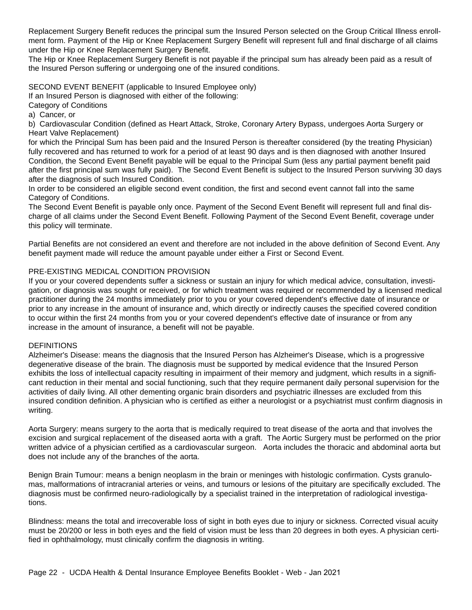Replacement Surgery Benefit reduces the principal sum the Insured Person selected on the Group Critical Illness enrollment form. Payment of the Hip or Knee Replacement Surgery Benefit will represent full and final discharge of all claims under the Hip or Knee Replacement Surgery Benefit.

The Hip or Knee Replacement Surgery Benefit is not payable if the principal sum has already been paid as a result of the Insured Person suffering or undergoing one of the insured conditions.

SECOND EVENT BENEFIT (applicable to Insured Employee only)

If an Insured Person is diagnosed with either of the following:

Category of Conditions

a) Cancer, or

b) Cardiovascular Condition (defined as Heart Attack, Stroke, Coronary Artery Bypass, undergoes Aorta Surgery or Heart Valve Replacement)

for which the Principal Sum has been paid and the Insured Person is thereafter considered (by the treating Physician) fully recovered and has returned to work for a period of at least 90 days and is then diagnosed with another Insured Condition, the Second Event Benefit payable will be equal to the Principal Sum (less any partial payment benefit paid after the first principal sum was fully paid). The Second Event Benefit is subject to the Insured Person surviving 30 days after the diagnosis of such Insured Condition.

In order to be considered an eligible second event condition, the first and second event cannot fall into the same Category of Conditions.

The Second Event Benefit is payable only once. Payment of the Second Event Benefit will represent full and final discharge of all claims under the Second Event Benefit. Following Payment of the Second Event Benefit, coverage under this policy will terminate.

Partial Benefits are not considered an event and therefore are not included in the above definition of Second Event. Any benefit payment made will reduce the amount payable under either a First or Second Event.

## PRE-EXISTING MEDICAL CONDITION PROVISION

If you or your covered dependents suffer a sickness or sustain an injury for which medical advice, consultation, investigation, or diagnosis was sought or received, or for which treatment was required or recommended by a licensed medical practitioner during the 24 months immediately prior to you or your covered dependent's effective date of insurance or prior to any increase in the amount of insurance and, which directly or indirectly causes the specified covered condition to occur within the first 24 months from you or your covered dependent's effective date of insurance or from any increase in the amount of insurance, a benefit will not be payable.

## **DEFINITIONS**

Alzheimer's Disease: means the diagnosis that the Insured Person has Alzheimer's Disease, which is a progressive degenerative disease of the brain. The diagnosis must be supported by medical evidence that the Insured Person exhibits the loss of intellectual capacity resulting in impairment of their memory and judgment, which results in a significant reduction in their mental and social functioning, such that they require permanent daily personal supervision for the activities of daily living. All other dementing organic brain disorders and psychiatric illnesses are excluded from this insured condition definition. A physician who is certified as either a neurologist or a psychiatrist must confirm diagnosis in writing.

Aorta Surgery: means surgery to the aorta that is medically required to treat disease of the aorta and that involves the excision and surgical replacement of the diseased aorta with a graft. The Aortic Surgery must be performed on the prior written advice of a physician certified as a cardiovascular surgeon. Aorta includes the thoracic and abdominal aorta but does not include any of the branches of the aorta.

Benign Brain Tumour: means a benign neoplasm in the brain or meninges with histologic confirmation. Cysts granulomas, malformations of intracranial arteries or veins, and tumours or lesions of the pituitary are specifically excluded. The diagnosis must be confirmed neuro-radiologically by a specialist trained in the interpretation of radiological investigations.

Blindness: means the total and irrecoverable loss of sight in both eyes due to injury or sickness. Corrected visual acuity must be 20/200 or less in both eyes and the field of vision must be less than 20 degrees in both eyes. A physician certified in ophthalmology, must clinically confirm the diagnosis in writing.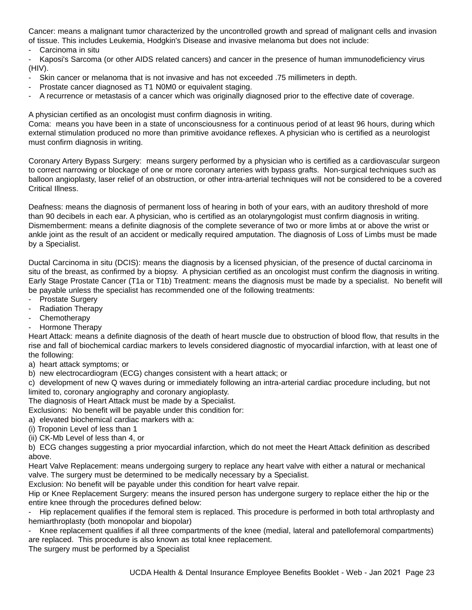Cancer: means a malignant tumor characterized by the uncontrolled growth and spread of malignant cells and invasion of tissue. This includes Leukemia, Hodgkin's Disease and invasive melanoma but does not include:

- Carcinoma in situ

- Kaposi's Sarcoma (or other AIDS related cancers) and cancer in the presence of human immunodeficiency virus (HIV).

- Skin cancer or melanoma that is not invasive and has not exceeded .75 millimeters in depth.
- Prostate cancer diagnosed as T1 N0M0 or equivalent staging.
- A recurrence or metastasis of a cancer which was originally diagnosed prior to the effective date of coverage.

A physician certified as an oncologist must confirm diagnosis in writing.

Coma: means you have been in a state of unconsciousness for a continuous period of at least 96 hours, during which external stimulation produced no more than primitive avoidance reflexes. A physician who is certified as a neurologist must confirm diagnosis in writing.

Coronary Artery Bypass Surgery: means surgery performed by a physician who is certified as a cardiovascular surgeon to correct narrowing or blockage of one or more coronary arteries with bypass grafts. Non-surgical techniques such as balloon angioplasty, laser relief of an obstruction, or other intra-arterial techniques will not be considered to be a covered Critical Illness.

Deafness: means the diagnosis of permanent loss of hearing in both of your ears, with an auditory threshold of more than 90 decibels in each ear. A physician, who is certified as an otolaryngologist must confirm diagnosis in writing. Dismemberment: means a definite diagnosis of the complete severance of two or more limbs at or above the wrist or ankle joint as the result of an accident or medically required amputation. The diagnosis of Loss of Limbs must be made by a Specialist.

Ductal Carcinoma in situ (DCIS): means the diagnosis by a licensed physician, of the presence of ductal carcinoma in situ of the breast, as confirmed by a biopsy. A physician certified as an oncologist must confirm the diagnosis in writing. Early Stage Prostate Cancer (T1a or T1b) Treatment: means the diagnosis must be made by a specialist. No benefit will be payable unless the specialist has recommended one of the following treatments:

- Prostate Surgery
- Radiation Therapy
- Chemotherapy
- Hormone Therapy

Heart Attack: means a definite diagnosis of the death of heart muscle due to obstruction of blood flow, that results in the rise and fall of biochemical cardiac markers to levels considered diagnostic of myocardial infarction, with at least one of the following:

a) heart attack symptoms; or

b) new electrocardiogram (ECG) changes consistent with a heart attack; or

c) development of new Q waves during or immediately following an intra-arterial cardiac procedure including, but not limited to, coronary angiography and coronary angioplasty.

The diagnosis of Heart Attack must be made by a Specialist.

Exclusions: No benefit will be payable under this condition for:

- a) elevated biochemical cardiac markers with a:
- (i) Troponin Level of less than 1
- (ii) CK-Mb Level of less than 4, or

b) ECG changes suggesting a prior myocardial infarction, which do not meet the Heart Attack definition as described above.

Heart Valve Replacement: means undergoing surgery to replace any heart valve with either a natural or mechanical valve. The surgery must be determined to be medically necessary by a Specialist.

Exclusion: No benefit will be payable under this condition for heart valve repair.

Hip or Knee Replacement Surgery: means the insured person has undergone surgery to replace either the hip or the entire knee through the procedures defined below:

- Hip replacement qualifies if the femoral stem is replaced. This procedure is performed in both total arthroplasty and hemiarthroplasty (both monopolar and biopolar)

Knee replacement qualifies if all three compartments of the knee (medial, lateral and patellofemoral compartments) are replaced. This procedure is also known as total knee replacement.

The surgery must be performed by a Specialist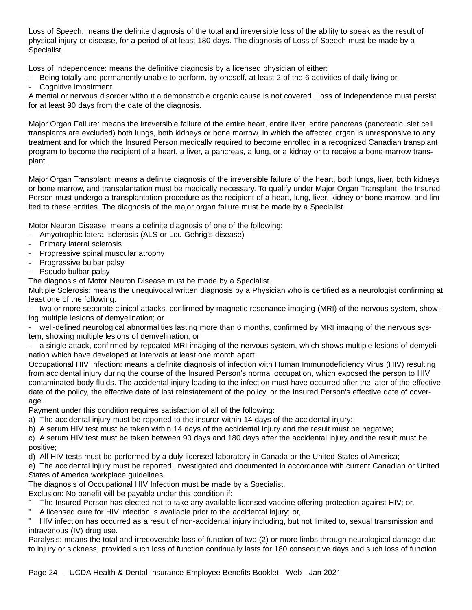Loss of Speech: means the definite diagnosis of the total and irreversible loss of the ability to speak as the result of physical injury or disease, for a period of at least 180 days. The diagnosis of Loss of Speech must be made by a Specialist.

Loss of Independence: means the definitive diagnosis by a licensed physician of either:

- Being totally and permanently unable to perform, by oneself, at least 2 of the 6 activities of daily living or,
- Cognitive impairment.

A mental or nervous disorder without a demonstrable organic cause is not covered. Loss of Independence must persist for at least 90 days from the date of the diagnosis.

Major Organ Failure: means the irreversible failure of the entire heart, entire liver, entire pancreas (pancreatic islet cell transplants are excluded) both lungs, both kidneys or bone marrow, in which the affected organ is unresponsive to any treatment and for which the Insured Person medically required to become enrolled in a recognized Canadian transplant program to become the recipient of a heart, a liver, a pancreas, a lung, or a kidney or to receive a bone marrow transplant.

Major Organ Transplant: means a definite diagnosis of the irreversible failure of the heart, both lungs, liver, both kidneys or bone marrow, and transplantation must be medically necessary. To qualify under Major Organ Transplant, the Insured Person must undergo a transplantation procedure as the recipient of a heart, lung, liver, kidney or bone marrow, and limited to these entities. The diagnosis of the major organ failure must be made by a Specialist.

Motor Neuron Disease: means a definite diagnosis of one of the following:

- Amyotrophic lateral sclerosis (ALS or Lou Gehrig's disease)
- Primary lateral sclerosis
- Progressive spinal muscular atrophy
- Progressive bulbar palsy
- Pseudo bulbar palsy

The diagnosis of Motor Neuron Disease must be made by a Specialist.

Multiple Sclerosis: means the unequivocal written diagnosis by a Physician who is certified as a neurologist confirming at least one of the following:

two or more separate clinical attacks, confirmed by magnetic resonance imaging (MRI) of the nervous system, showing multiple lesions of demyelination; or

- well-defined neurological abnormalities lasting more than 6 months, confirmed by MRI imaging of the nervous system, showing multiple lesions of demyelination; or

- a single attack, confirmed by repeated MRI imaging of the nervous system, which shows multiple lesions of demyelination which have developed at intervals at least one month apart.

Occupational HIV Infection: means a definite diagnosis of infection with Human Immunodeficiency Virus (HIV) resulting from accidental injury during the course of the Insured Person's normal occupation, which exposed the person to HIV contaminated body fluids. The accidental injury leading to the infection must have occurred after the later of the effective date of the policy, the effective date of last reinstatement of the policy, or the Insured Person's effective date of coverage.

Payment under this condition requires satisfaction of all of the following:

a) The accidental injury must be reported to the insurer within 14 days of the accidental injury;

b) A serum HIV test must be taken within 14 days of the accidental injury and the result must be negative;

c) A serum HIV test must be taken between 90 days and 180 days after the accidental injury and the result must be positive;

d) All HIV tests must be performed by a duly licensed laboratory in Canada or the United States of America;

e) The accidental injury must be reported, investigated and documented in accordance with current Canadian or United States of America workplace guidelines.

The diagnosis of Occupational HIV Infection must be made by a Specialist.

Exclusion: No benefit will be payable under this condition if:

- The Insured Person has elected not to take any available licensed vaccine offering protection against HIV; or,
- A licensed cure for HIV infection is available prior to the accidental injury; or,

HIV infection has occurred as a result of non-accidental injury including, but not limited to, sexual transmission and intravenous (IV) drug use.

Paralysis: means the total and irrecoverable loss of function of two (2) or more limbs through neurological damage due to injury or sickness, provided such loss of function continually lasts for 180 consecutive days and such loss of function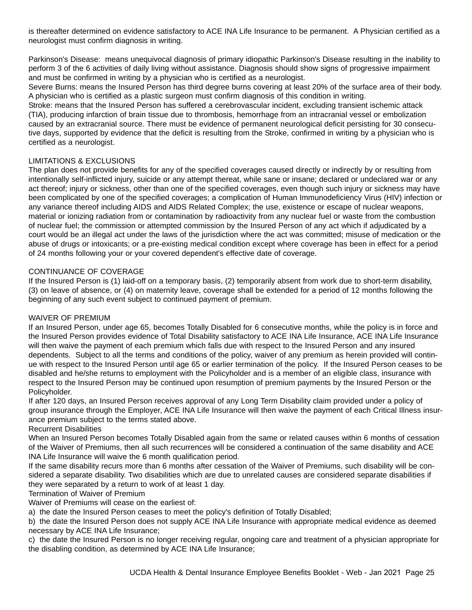is thereafter determined on evidence satisfactory to ACE INA Life Insurance to be permanent. A Physician certified as a neurologist must confirm diagnosis in writing.

Parkinson's Disease: means unequivocal diagnosis of primary idiopathic Parkinson's Disease resulting in the inability to perform 3 of the 6 activities of daily living without assistance. Diagnosis should show signs of progressive impairment and must be confirmed in writing by a physician who is certified as a neurologist.

Severe Burns: means the Insured Person has third degree burns covering at least 20% of the surface area of their body. A physician who is certified as a plastic surgeon must confirm diagnosis of this condition in writing.

Stroke: means that the Insured Person has suffered a cerebrovascular incident, excluding transient ischemic attack (TIA), producing infarction of brain tissue due to thrombosis, hemorrhage from an intracranial vessel or embolization caused by an extracranial source. There must be evidence of permanent neurological deficit persisting for 30 consecutive days, supported by evidence that the deficit is resulting from the Stroke, confirmed in writing by a physician who is certified as a neurologist.

## LIMITATIONS & EXCLUSIONS

The plan does not provide benefits for any of the specified coverages caused directly or indirectly by or resulting from intentionally self-inflicted injury, suicide or any attempt thereat, while sane or insane; declared or undeclared war or any act thereof; injury or sickness, other than one of the specified coverages, even though such injury or sickness may have been complicated by one of the specified coverages; a complication of Human Immunodeficiency Virus (HIV) infection or any variance thereof including AIDS and AIDS Related Complex; the use, existence or escape of nuclear weapons, material or ionizing radiation from or contamination by radioactivity from any nuclear fuel or waste from the combustion of nuclear fuel; the commission or attempted commission by the Insured Person of any act which if adjudicated by a court would be an illegal act under the laws of the jurisdiction where the act was committed; misuse of medication or the abuse of drugs or intoxicants; or a pre-existing medical condition except where coverage has been in effect for a period of 24 months following your or your covered dependent's effective date of coverage.

## CONTINUANCE OF COVERAGE

If the Insured Person is (1) laid-off on a temporary basis, (2) temporarily absent from work due to short-term disability, (3) on leave of absence, or (4) on maternity leave, coverage shall be extended for a period of 12 months following the beginning of any such event subject to continued payment of premium.

## WAIVER OF PREMIUM

If an Insured Person, under age 65, becomes Totally Disabled for 6 consecutive months, while the policy is in force and the Insured Person provides evidence of Total Disability satisfactory to ACE INA Life Insurance, ACE INA Life Insurance will then waive the payment of each premium which falls due with respect to the Insured Person and any insured dependents. Subject to all the terms and conditions of the policy, waiver of any premium as herein provided will continue with respect to the Insured Person until age 65 or earlier termination of the policy. If the Insured Person ceases to be disabled and he/she returns to employment with the Policyholder and is a member of an eligible class, insurance with respect to the Insured Person may be continued upon resumption of premium payments by the Insured Person or the Policyholder.

If after 120 days, an Insured Person receives approval of any Long Term Disability claim provided under a policy of group insurance through the Employer, ACE INA Life Insurance will then waive the payment of each Critical Illness insurance premium subject to the terms stated above.

## Recurrent Disabilities

When an Insured Person becomes Totally Disabled again from the same or related causes within 6 months of cessation of the Waiver of Premiums, then all such recurrences will be considered a continuation of the same disability and ACE INA Life Insurance will waive the 6 month qualification period.

If the same disability recurs more than 6 months after cessation of the Waiver of Premiums, such disability will be considered a separate disability. Two disabilities which are due to unrelated causes are considered separate disabilities if they were separated by a return to work of at least 1 day.

## Termination of Waiver of Premium

Waiver of Premiums will cease on the earliest of:

a) the date the Insured Person ceases to meet the policy's definition of Totally Disabled;

b) the date the Insured Person does not supply ACE INA Life Insurance with appropriate medical evidence as deemed necessary by ACE INA Life Insurance;

c) the date the Insured Person is no longer receiving regular, ongoing care and treatment of a physician appropriate for the disabling condition, as determined by ACE INA Life Insurance;